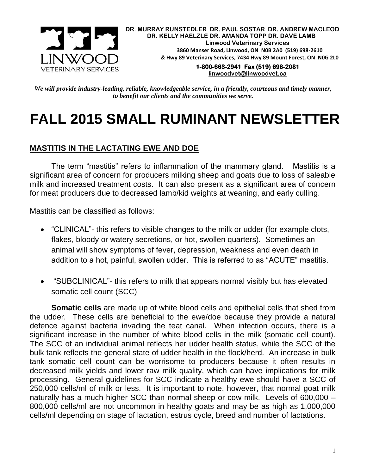

**DR. MURRAY RUNSTEDLER DR. PAUL SOSTAR DR. ANDREW MACLEOD DR. KELLY HAELZLE DR. AMANDA TOPP DR. DAVE LAMB Linwood Veterinary Services 3860 Manser Road, Linwood, ON N0B 2A0 (519) 698-2610** *&* **Hwy 89 Veterinary Services, 7434 Hwy 89 Mount Forest, ON N0G 2L0**

**1-800-663-2941 Fax (519) 698-2081 [linwoodvet@linwoodvet.ca](mailto:linwoodvet@linwoodvet.ca)**

*We will provide industry-leading, reliable, knowledgeable service, in a friendly, courteous and timely manner, to benefit our clients and the communities we serve.*

# **FALL 2015 SMALL RUMINANT NEWSLETTER**

## **MASTITIS IN THE LACTATING EWE AND DOE**

The term "mastitis" refers to inflammation of the mammary gland. Mastitis is a significant area of concern for producers milking sheep and goats due to loss of saleable milk and increased treatment costs. It can also present as a significant area of concern for meat producers due to decreased lamb/kid weights at weaning, and early culling.

Mastitis can be classified as follows:

- "CLINICAL"- this refers to visible changes to the milk or udder (for example clots, flakes, bloody or watery secretions, or hot, swollen quarters). Sometimes an animal will show symptoms of fever, depression, weakness and even death in addition to a hot, painful, swollen udder. This is referred to as "ACUTE" mastitis.
- "SUBCLINICAL"- this refers to milk that appears normal visibly but has elevated somatic cell count (SCC)

**Somatic cells** are made up of white blood cells and epithelial cells that shed from the udder. These cells are beneficial to the ewe/doe because they provide a natural defence against bacteria invading the teat canal. When infection occurs, there is a significant increase in the number of white blood cells in the milk (somatic cell count). The SCC of an individual animal reflects her udder health status, while the SCC of the bulk tank reflects the general state of udder health in the flock/herd. An increase in bulk tank somatic cell count can be worrisome to producers because it often results in decreased milk yields and lower raw milk quality, which can have implications for milk processing. General guidelines for SCC indicate a healthy ewe should have a SCC of 250,000 cells/ml of milk or less. It is important to note, however, that normal goat milk naturally has a much higher SCC than normal sheep or cow milk. Levels of 600,000 – 800,000 cells/ml are not uncommon in healthy goats and may be as high as 1,000,000 cells/ml depending on stage of lactation, estrus cycle, breed and number of lactations.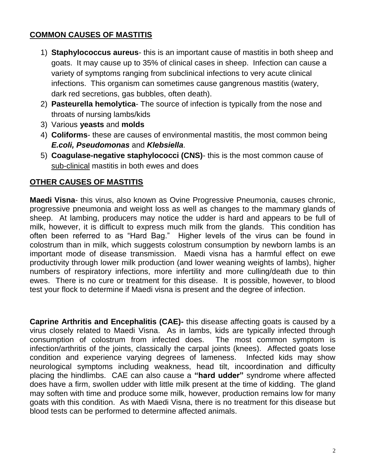# **COMMON CAUSES OF MASTITIS**

- 1) **Staphylococcus aureus** this is an important cause of mastitis in both sheep and goats. It may cause up to 35% of clinical cases in sheep. Infection can cause a variety of symptoms ranging from subclinical infections to very acute clinical infections. This organism can sometimes cause gangrenous mastitis (watery, dark red secretions, gas bubbles, often death).
- 2) **Pasteurella hemolytica** The source of infection is typically from the nose and throats of nursing lambs/kids
- 3) Various **yeasts** and **molds**
- 4) **Coliforms** these are causes of environmental mastitis, the most common being *E.coli, Pseudomonas* and *Klebsiella*.
- 5) **Coagulase-negative staphylococci (CNS)** this is the most common cause of sub-clinical mastitis in both ewes and does

# **OTHER CAUSES OF MASTITIS**

**Maedi Visna**- this virus, also known as Ovine Progressive Pneumonia, causes chronic, progressive pneumonia and weight loss as well as changes to the mammary glands of sheep. At lambing, producers may notice the udder is hard and appears to be full of milk, however, it is difficult to express much milk from the glands. This condition has often been referred to as "Hard Bag." Higher levels of the virus can be found in colostrum than in milk, which suggests colostrum consumption by newborn lambs is an important mode of disease transmission. Maedi visna has a harmful effect on ewe productivity through lower milk production (and lower weaning weights of lambs), higher numbers of respiratory infections, more infertility and more culling/death due to thin ewes. There is no cure or treatment for this disease. It is possible, however, to blood test your flock to determine if Maedi visna is present and the degree of infection.

**Caprine Arthritis and Encephalitis (CAE)-** this disease affecting goats is caused by a virus closely related to Maedi Visna. As in lambs, kids are typically infected through consumption of colostrum from infected does. The most common symptom is infection/arthritis of the joints, classically the carpal joints (knees). Affected goats lose condition and experience varying degrees of lameness. Infected kids may show neurological symptoms including weakness, head tilt, incoordination and difficulty placing the hindlimbs. CAE can also cause a **"hard udder"** syndrome where affected does have a firm, swollen udder with little milk present at the time of kidding. The gland may soften with time and produce some milk, however, production remains low for many goats with this condition. As with Maedi Visna, there is no treatment for this disease but blood tests can be performed to determine affected animals.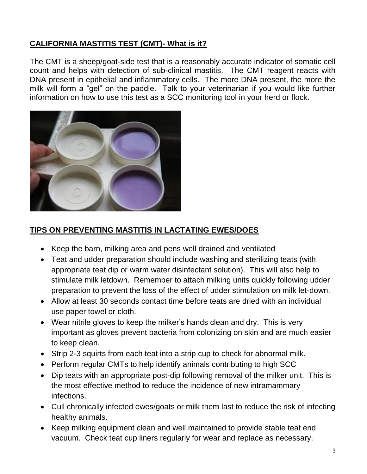# **CALIFORNIA MASTITIS TEST (CMT)- What is it?**

The CMT is a sheep/goat-side test that is a reasonably accurate indicator of somatic cell count and helps with detection of sub-clinical mastitis. The CMT reagent reacts with DNA present in epithelial and inflammatory cells. The more DNA present, the more the milk will form a "gel" on the paddle. Talk to your veterinarian if you would like further information on how to use this test as a SCC monitoring tool in your herd or flock.



#### **TIPS ON PREVENTING MASTITIS IN LACTATING EWES/DOES**

- Keep the barn, milking area and pens well drained and ventilated
- Teat and udder preparation should include washing and sterilizing teats (with appropriate teat dip or warm water disinfectant solution). This will also help to stimulate milk letdown. Remember to attach milking units quickly following udder preparation to prevent the loss of the effect of udder stimulation on milk let-down.
- Allow at least 30 seconds contact time before teats are dried with an individual use paper towel or cloth.
- Wear nitrile gloves to keep the milker's hands clean and dry. This is very important as gloves prevent bacteria from colonizing on skin and are much easier to keep clean.
- Strip 2-3 squirts from each teat into a strip cup to check for abnormal milk.
- Perform regular CMTs to help identify animals contributing to high SCC
- Dip teats with an appropriate post-dip following removal of the milker unit. This is the most effective method to reduce the incidence of new intramammary infections.
- Cull chronically infected ewes/goats or milk them last to reduce the risk of infecting healthy animals.
- Keep milking equipment clean and well maintained to provide stable teat end vacuum. Check teat cup liners regularly for wear and replace as necessary.